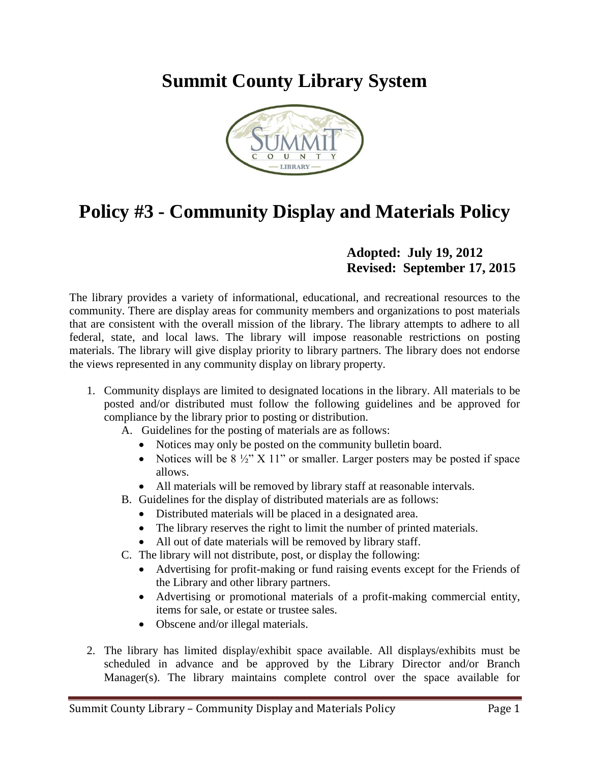## **Summit County Library System**



## **Policy #3 - Community Display and Materials Policy**

## **Adopted: July 19, 2012 Revised: September 17, 2015**

The library provides a variety of informational, educational, and recreational resources to the community. There are display areas for community members and organizations to post materials that are consistent with the overall mission of the library. The library attempts to adhere to all federal, state, and local laws. The library will impose reasonable restrictions on posting materials. The library will give display priority to library partners. The library does not endorse the views represented in any community display on library property.

- 1. Community displays are limited to designated locations in the library. All materials to be posted and/or distributed must follow the following guidelines and be approved for compliance by the library prior to posting or distribution.
	- A. Guidelines for the posting of materials are as follows:
		- Notices may only be posted on the community bulletin board.
		- Notices will be  $8\frac{1}{2}$ " X 11" or smaller. Larger posters may be posted if space allows.
		- All materials will be removed by library staff at reasonable intervals.
	- B. Guidelines for the display of distributed materials are as follows:
		- Distributed materials will be placed in a designated area.
		- The library reserves the right to limit the number of printed materials.
		- All out of date materials will be removed by library staff.
	- C. The library will not distribute, post, or display the following:
		- Advertising for profit-making or fund raising events except for the Friends of the Library and other library partners.
		- Advertising or promotional materials of a profit-making commercial entity, items for sale, or estate or trustee sales.
		- Obscene and/or illegal materials.
- 2. The library has limited display/exhibit space available. All displays/exhibits must be scheduled in advance and be approved by the Library Director and/or Branch Manager(s). The library maintains complete control over the space available for